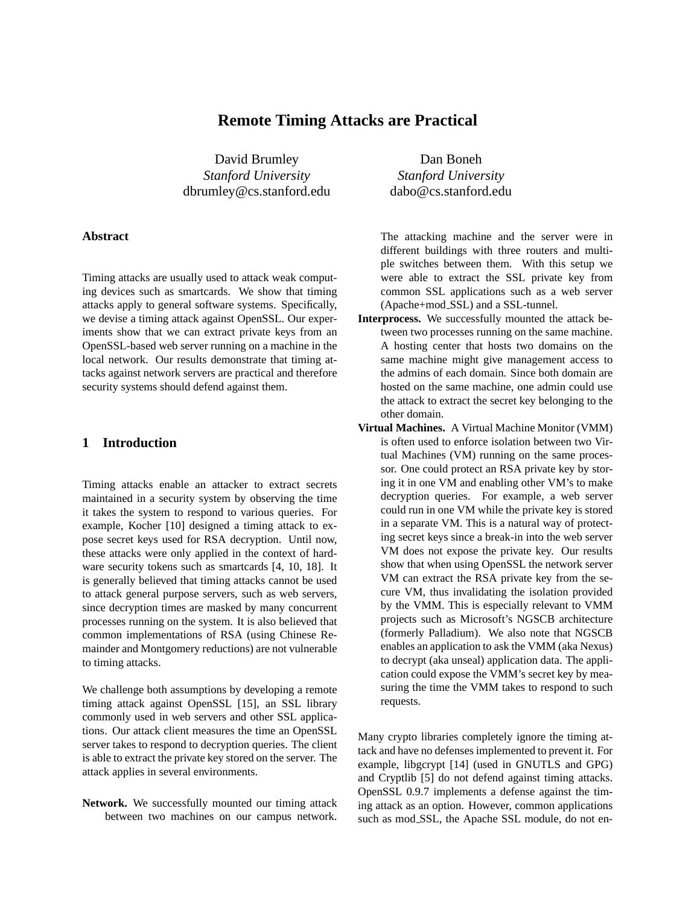# **Remote Timing Attacks are Practical**

David Brumley Dan Boneh *Stanford University Stanford University* dbrumley@cs.stanford.edu dabo@cs.stanford.edu

# **Abstract**

Timing attacks are usually used to attack weak computing devices such as smartcards. We show that timing attacks apply to general software systems. Specifically, we devise a timing attack against OpenSSL. Our experiments show that we can extract private keys from an OpenSSL-based web server running on a machine in the local network. Our results demonstrate that timing attacks against network servers are practical and therefore security systems should defend against them.

# **1 Introduction**

Timing attacks enable an attacker to extract secrets maintained in a security system by observing the time it takes the system to respond to various queries. For example, Kocher [10] designed a timing attack to expose secret keys used for RSA decryption. Until now, these attacks were only applied in the context of hardware security tokens such as smartcards [4, 10, 18]. It is generally believed that timing attacks cannot be used to attack general purpose servers, such as web servers, since decryption times are masked by many concurrent processes running on the system. It is also believed that common implementations of RSA (using Chinese Remainder and Montgomery reductions) are not vulnerable to timing attacks.

We challenge both assumptions by developing a remote timing attack against OpenSSL [15], an SSL library commonly used in web servers and other SSL applications. Our attack client measures the time an OpenSSL server takes to respond to decryption queries. The client is able to extract the private key stored on the server. The attack applies in several environments.

**Network.** We successfully mounted our timing attack between two machines on our campus network.

The attacking machine and the server were in different buildings with three routers and multiple switches between them. With this setup we were able to extract the SSL private key from common SSL applications such as a web server (Apache+mod SSL) and a SSL-tunnel.

- **Interprocess.** We successfully mounted the attack between two processes running on the same machine. A hosting center that hosts two domains on the same machine might give management access to the admins of each domain. Since both domain are hosted on the same machine, one admin could use the attack to extract the secret key belonging to the other domain.
- **Virtual Machines.** A Virtual Machine Monitor (VMM) is often used to enforce isolation between two Virtual Machines (VM) running on the same processor. One could protect an RSA private key by storing it in one VM and enabling other VM's to make decryption queries. For example, a web server could run in one VM while the private key is stored in a separate VM. This is a natural way of protecting secret keys since a break-in into the web server VM does not expose the private key. Our results show that when using OpenSSL the network server VM can extract the RSA private key from the secure VM, thus invalidating the isolation provided by the VMM. This is especially relevant to VMM projects such as Microsoft's NGSCB architecture (formerly Palladium). We also note that NGSCB enables an application to ask the VMM (aka Nexus) to decrypt (aka unseal) application data. The application could expose the VMM's secret key by measuring the time the VMM takes to respond to such requests.

Many crypto libraries completely ignore the timing attack and have no defenses implemented to prevent it. For example, libgcrypt [14] (used in GNUTLS and GPG) and Cryptlib [5] do not defend against timing attacks. OpenSSL 0.9.7 implements a defense against the timing attack as an option. However, common applications such as mod SSL, the Apache SSL module, do not en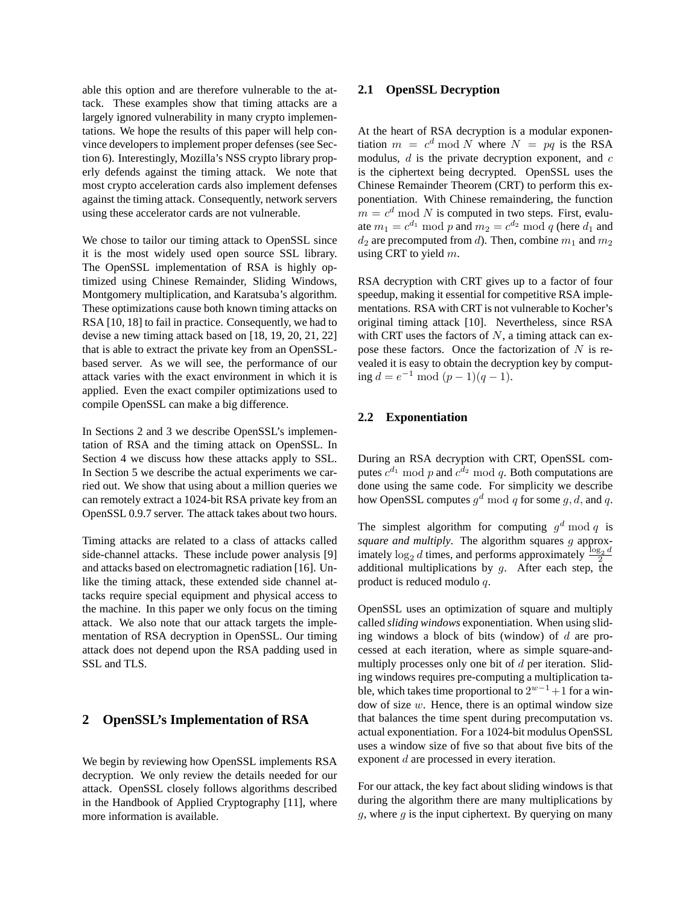able this option and are therefore vulnerable to the attack. These examples show that timing attacks are a largely ignored vulnerability in many crypto implementations. We hope the results of this paper will help convince developers to implement proper defenses (see Section 6). Interestingly, Mozilla's NSS crypto library properly defends against the timing attack. We note that most crypto acceleration cards also implement defenses against the timing attack. Consequently, network servers using these accelerator cards are not vulnerable.

We chose to tailor our timing attack to OpenSSL since it is the most widely used open source SSL library. The OpenSSL implementation of RSA is highly optimized using Chinese Remainder, Sliding Windows, Montgomery multiplication, and Karatsuba's algorithm. These optimizations cause both known timing attacks on RSA [10, 18] to fail in practice. Consequently, we had to devise a new timing attack based on [18, 19, 20, 21, 22] that is able to extract the private key from an OpenSSLbased server. As we will see, the performance of our attack varies with the exact environment in which it is applied. Even the exact compiler optimizations used to compile OpenSSL can make a big difference.

In Sections 2 and 3 we describe OpenSSL's implementation of RSA and the timing attack on OpenSSL. In Section 4 we discuss how these attacks apply to SSL. In Section 5 we describe the actual experiments we carried out. We show that using about a million queries we can remotely extract a 1024-bit RSA private key from an OpenSSL 0.9.7 server. The attack takes about two hours.

Timing attacks are related to a class of attacks called side-channel attacks. These include power analysis [9] and attacks based on electromagnetic radiation [16]. Unlike the timing attack, these extended side channel attacks require special equipment and physical access to the machine. In this paper we only focus on the timing attack. We also note that our attack targets the implementation of RSA decryption in OpenSSL. Our timing attack does not depend upon the RSA padding used in SSL and TLS.

### **2 OpenSSL's Implementation of RSA**

We begin by reviewing how OpenSSL implements RSA decryption. We only review the details needed for our attack. OpenSSL closely follows algorithms described in the Handbook of Applied Cryptography [11], where more information is available.

#### **2.1 OpenSSL Decryption**

At the heart of RSA decryption is a modular exponentiation  $m = c^d \mod N$  where  $N = pq$  is the RSA modulus,  $d$  is the private decryption exponent, and  $c$ is the ciphertext being decrypted. OpenSSL uses the Chinese Remainder Theorem (CRT) to perform this exponentiation. With Chinese remaindering, the function  $m = c<sup>d</sup>$  mod N is computed in two steps. First, evaluate  $m_1 = c^{d_1} \bmod p$  and  $m_2 = c^{d_2} \bmod q$  (here  $d_1$  and  $d_2$  are precomputed from d). Then, combine  $m_1$  and  $m_2$ using CRT to yield  $m$ .

RSA decryption with CRT gives up to a factor of four speedup, making it essential for competitive RSA implementations. RSA with CRT is not vulnerable to Kocher's original timing attack [10]. Nevertheless, since RSA with CRT uses the factors of  $N$ , a timing attack can expose these factors. Once the factorization of  $N$  is revealed it is easy to obtain the decryption key by computing  $d = e^{-1} \mod (p-1)(q-1)$ .

### **2.2 Exponentiation**

During an RSA decryption with CRT, OpenSSL computes  $c^{d_1} \bmod p$  and  $c^{d_2} \bmod q$ . Both computations are done using the same code. For simplicity we describe how OpenSSL computes  $g^d \bmod q$  for some  $g, d$ , and  $q$ .

The simplest algorithm for computing  $g^d \bmod q$  is *square and multiply*. The algorithm squares g approximately  $\log_2 d$  times, and performs approximately  $\frac{\log_2 d}{2}$ additional multiplications by  $g$ . After each step, the product is reduced modulo q.

OpenSSL uses an optimization of square and multiply called *sliding windows* exponentiation. When using sliding windows a block of bits (window) of  $d$  are processed at each iteration, where as simple square-andmultiply processes only one bit of  $d$  per iteration. Sliding windows requires pre-computing a multiplication table, which takes time proportional to  $2^{w-1}+1$  for a window of size  $w$ . Hence, there is an optimal window size that balances the time spent during precomputation vs. actual exponentiation. For a 1024-bit modulus OpenSSL uses a window size of five so that about five bits of the exponent d are processed in every iteration.

For our attack, the key fact about sliding windows is that during the algorithm there are many multiplications by  $g$ , where  $g$  is the input ciphertext. By querying on many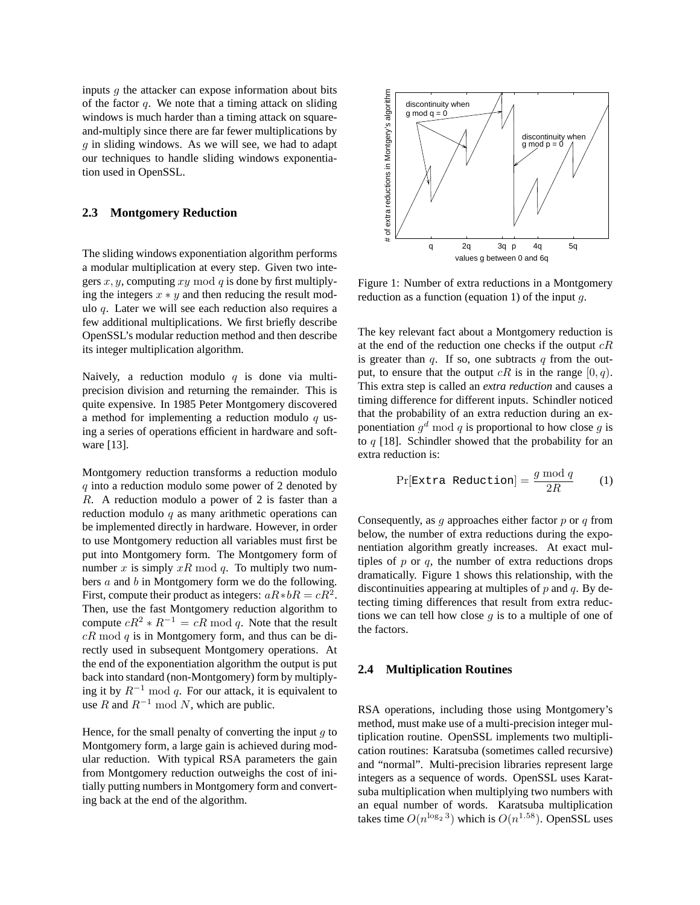inputs  $q$  the attacker can expose information about bits of the factor  $q$ . We note that a timing attack on sliding windows is much harder than a timing attack on squareand-multiply since there are far fewer multiplications by  $q$  in sliding windows. As we will see, we had to adapt our techniques to handle sliding windows exponentiation used in OpenSSL.

### **2.3 Montgomery Reduction**

The sliding windows exponentiation algorithm performs a modular multiplication at every step. Given two integers  $x, y$ , computing  $xy \mod q$  is done by first multiplying the integers  $x * y$  and then reducing the result modulo q. Later we will see each reduction also requires a few additional multiplications. We first briefly describe OpenSSL's modular reduction method and then describe its integer multiplication algorithm.

Naively, a reduction modulo  $q$  is done via multiprecision division and returning the remainder. This is quite expensive. In 1985 Peter Montgomery discovered a method for implementing a reduction modulo  $q$  using a series of operations efficient in hardware and software [13].

Montgomery reduction transforms a reduction modulo  $q$  into a reduction modulo some power of 2 denoted by R. A reduction modulo a power of 2 is faster than a reduction modulo  $q$  as many arithmetic operations can be implemented directly in hardware. However, in order to use Montgomery reduction all variables must first be put into Montgomery form. The Montgomery form of number x is simply  $xR \mod q$ . To multiply two numbers a and b in Montgomery form we do the following. First, compute their product as integers:  $aR*bR = cR^2$ . Then, use the fast Montgomery reduction algorithm to compute  $cR^2 * R^{-1} = cR \mod q$ . Note that the result  $cR \mod q$  is in Montgomery form, and thus can be directly used in subsequent Montgomery operations. At the end of the exponentiation algorithm the output is put back into standard (non-Montgomery) form by multiplying it by  $R^{-1}$  mod q. For our attack, it is equivalent to use R and  $R^{-1}$  mod N, which are public.

Hence, for the small penalty of converting the input  $q$  to Montgomery form, a large gain is achieved during modular reduction. With typical RSA parameters the gain from Montgomery reduction outweighs the cost of initially putting numbers in Montgomery form and converting back at the end of the algorithm.



Figure 1: Number of extra reductions in a Montgomery reduction as a function (equation 1) of the input  $q$ .

The key relevant fact about a Montgomery reduction is at the end of the reduction one checks if the output  $cR$ is greater than  $q$ . If so, one subtracts  $q$  from the output, to ensure that the output  $cR$  is in the range  $[0, q)$ . This extra step is called an *extra reduction* and causes a timing difference for different inputs. Schindler noticed that the probability of an extra reduction during an exponentiation  $g^d \mod q$  is proportional to how close g is to  $q$  [18]. Schindler showed that the probability for an extra reduction is:

$$
Pr[\text{Extra Reduction}] = \frac{g \mod q}{2R} \qquad (1)
$$

Consequently, as  $q$  approaches either factor  $p$  or  $q$  from below, the number of extra reductions during the exponentiation algorithm greatly increases. At exact multiples of  $p$  or  $q$ , the number of extra reductions drops dramatically. Figure 1 shows this relationship, with the discontinuities appearing at multiples of  $p$  and  $q$ . By detecting timing differences that result from extra reductions we can tell how close  $g$  is to a multiple of one of the factors.

#### **2.4 Multiplication Routines**

RSA operations, including those using Montgomery's method, must make use of a multi-precision integer multiplication routine. OpenSSL implements two multiplication routines: Karatsuba (sometimes called recursive) and "normal". Multi-precision libraries represent large integers as a sequence of words. OpenSSL uses Karatsuba multiplication when multiplying two numbers with an equal number of words. Karatsuba multiplication takes time  $O(n^{\log_2 3})$  which is  $O(n^{1.58})$ . OpenSSL uses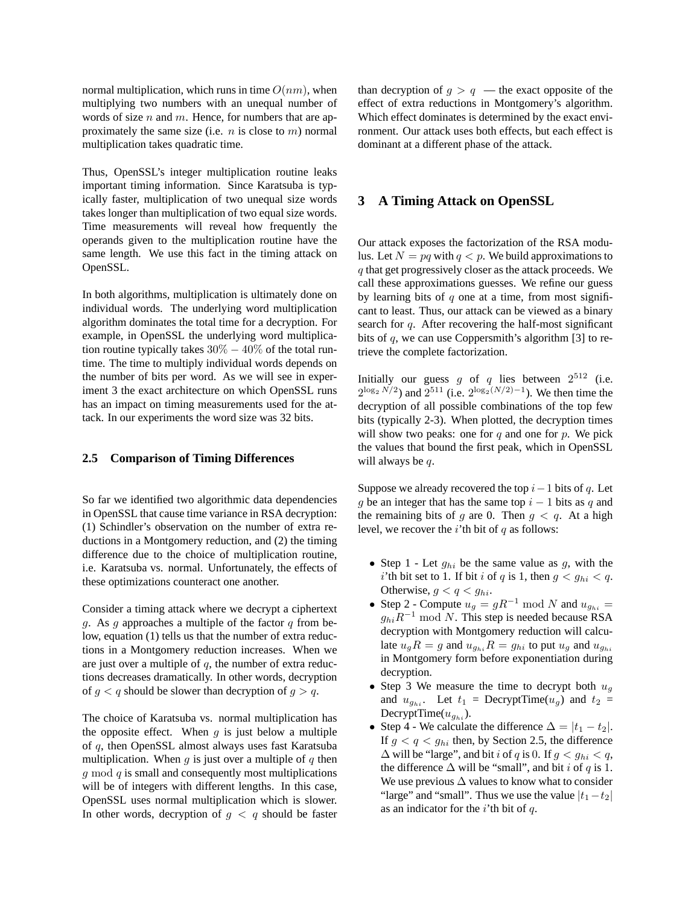normal multiplication, which runs in time  $O(nm)$ , when multiplying two numbers with an unequal number of words of size n and m. Hence, for numbers that are approximately the same size (i.e.  $n$  is close to  $m$ ) normal multiplication takes quadratic time.

Thus, OpenSSL's integer multiplication routine leaks important timing information. Since Karatsuba is typically faster, multiplication of two unequal size words takes longer than multiplication of two equal size words. Time measurements will reveal how frequently the operands given to the multiplication routine have the same length. We use this fact in the timing attack on OpenSSL.

In both algorithms, multiplication is ultimately done on individual words. The underlying word multiplication algorithm dominates the total time for a decryption. For example, in OpenSSL the underlying word multiplication routine typically takes  $30\% - 40\%$  of the total runtime. The time to multiply individual words depends on the number of bits per word. As we will see in experiment 3 the exact architecture on which OpenSSL runs has an impact on timing measurements used for the attack. In our experiments the word size was 32 bits.

# **2.5 Comparison of Timing Differences**

So far we identified two algorithmic data dependencies in OpenSSL that cause time variance in RSA decryption: (1) Schindler's observation on the number of extra reductions in a Montgomery reduction, and (2) the timing difference due to the choice of multiplication routine, i.e. Karatsuba vs. normal. Unfortunately, the effects of these optimizations counteract one another.

Consider a timing attack where we decrypt a ciphertext g. As g approaches a multiple of the factor  $q$  from below, equation (1) tells us that the number of extra reductions in a Montgomery reduction increases. When we are just over a multiple of  $q$ , the number of extra reductions decreases dramatically. In other words, decryption of  $g < q$  should be slower than decryption of  $g > q$ .

The choice of Karatsuba vs. normal multiplication has the opposite effect. When  $q$  is just below a multiple of q, then OpenSSL almost always uses fast Karatsuba multiplication. When  $q$  is just over a multiple of  $q$  then  $q \mod q$  is small and consequently most multiplications will be of integers with different lengths. In this case, OpenSSL uses normal multiplication which is slower. In other words, decryption of  $g < q$  should be faster

than decryption of  $g > q$  — the exact opposite of the effect of extra reductions in Montgomery's algorithm. Which effect dominates is determined by the exact environment. Our attack uses both effects, but each effect is dominant at a different phase of the attack.

# **3 A Timing Attack on OpenSSL**

Our attack exposes the factorization of the RSA modulus. Let  $N = pq$  with  $q < p$ . We build approximations to q that get progressively closer as the attack proceeds. We call these approximations guesses. We refine our guess by learning bits of  $q$  one at a time, from most significant to least. Thus, our attack can be viewed as a binary search for q. After recovering the half-most significant bits of  $q$ , we can use Coppersmith's algorithm [3] to retrieve the complete factorization.

Initially our guess g of q lies between  $2^{512}$  (i.e.  $2^{\log_2 N/2}$  and  $2^{511}$  (i.e.  $2^{\log_2(N/2)-1}$ ). We then time the decryption of all possible combinations of the top few bits (typically 2-3). When plotted, the decryption times will show two peaks: one for  $q$  and one for  $p$ . We pick the values that bound the first peak, which in OpenSSL will always be  $q$ .

Suppose we already recovered the top  $i-1$  bits of q. Let g be an integer that has the same top  $i - 1$  bits as q and the remaining bits of g are 0. Then  $g < q$ . At a high level, we recover the *i*'th bit of  $q$  as follows:

- Step 1 Let  $g_{hi}$  be the same value as g, with the i'th bit set to 1. If bit i of q is 1, then  $g < g_{hi} < q$ . Otherwise,  $g < q < g_{hi}$ .
- Step 2 Compute  $u_q = gR^{-1} \bmod N$  and  $u_{q_{hi}} =$  $g_{hi}R^{-1}$  mod N. This step is needed because RSA decryption with Montgomery reduction will calculate  $u_gR = g$  and  $u_{g_{hi}}R = g_{hi}$  to put  $u_g$  and  $u_{g_{hi}}$ in Montgomery form before exponentiation during decryption.
- Step 3 We measure the time to decrypt both  $u_q$ and  $u_{g_{hi}}$ . Let  $t_1$  = DecryptTime( $u_g$ ) and  $t_2$  = DecryptTime( $u_{q_{hi}}$ ).
- Step 4 We calculate the difference  $\Delta = |t_1 t_2|$ . If  $g < q < g_{hi}$  then, by Section 2.5, the difference  $\Delta$  will be "large", and bit *i* of *q* is 0. If  $g < g_{hi} < q$ , the difference  $\Delta$  will be "small", and bit *i* of *q* is 1. We use previous  $\Delta$  values to know what to consider "large" and "small". Thus we use the value  $|t_1-t_2|$ as an indicator for the  $i$ 'th bit of  $q$ .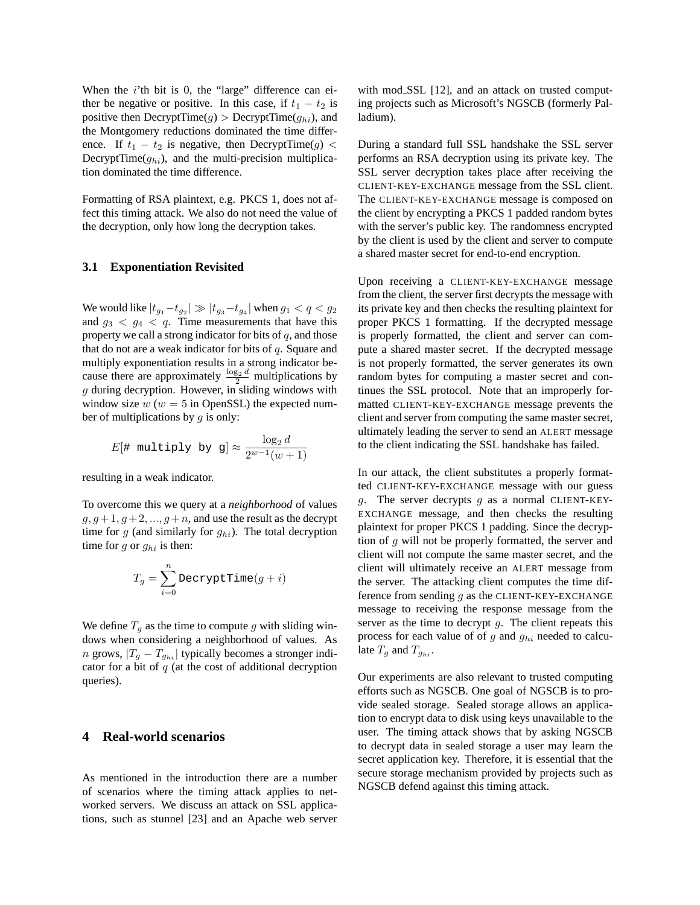When the  $i$ 'th bit is 0, the "large" difference can either be negative or positive. In this case, if  $t_1 - t_2$  is positive then  $\text{DecryptTime}(g) > \text{DecryptTime}(g_{hi})$ , and the Montgomery reductions dominated the time difference. If  $t_1 - t_2$  is negative, then DecryptTime(g) < DecryptTime( $g_{hi}$ ), and the multi-precision multiplication dominated the time difference.

Formatting of RSA plaintext, e.g. PKCS 1, does not affect this timing attack. We also do not need the value of the decryption, only how long the decryption takes.

#### **3.1 Exponentiation Revisited**

We would like  $|t_{g_1} - t_{g_2}| \gg |t_{g_3} - t_{g_4}|$  when  $g_1 < q < g_2$ and  $g_3 < g_4 < q$ . Time measurements that have this property we call a strong indicator for bits of  $q$ , and those that do not are a weak indicator for bits of  $q$ . Square and multiply exponentiation results in a strong indicator because there are approximately  $\frac{\log_2 d}{2}$  multiplications by  $g$  during decryption. However, in sliding windows with window size  $w (w = 5$  in OpenSSL) the expected number of multiplications by  $q$  is only:

$$
E[4 \text{ multiply by g}] \approx \frac{\log_2 d}{2^{w-1}(w+1)}
$$

resulting in a weak indicator.

To overcome this we query at a *neighborhood* of values  $g, g+1, g+2, ..., g+n$ , and use the result as the decrypt time for  $g$  (and similarly for  $g_{hi}$ ). The total decryption time for  $g$  or  $g_{hi}$  is then:

$$
T_g = \sum_{i=0}^n \texttt{DecryptTime}(g+i)
$$

We define  $T<sub>g</sub>$  as the time to compute g with sliding windows when considering a neighborhood of values. As *n* grows,  $|T_g - T_{g_{hi}}|$  typically becomes a stronger indicator for a bit of  $q$  (at the cost of additional decryption queries).

#### **4 Real-world scenarios**

As mentioned in the introduction there are a number of scenarios where the timing attack applies to networked servers. We discuss an attack on SSL applications, such as stunnel [23] and an Apache web server with mod SSL [12], and an attack on trusted computing projects such as Microsoft's NGSCB (formerly Palladium).

During a standard full SSL handshake the SSL server performs an RSA decryption using its private key. The SSL server decryption takes place after receiving the CLIENT-KEY-EXCHANGE message from the SSL client. The CLIENT-KEY-EXCHANGE message is composed on the client by encrypting a PKCS 1 padded random bytes with the server's public key. The randomness encrypted by the client is used by the client and server to compute a shared master secret for end-to-end encryption.

Upon receiving a CLIENT-KEY-EXCHANGE message from the client, the server first decrypts the message with its private key and then checks the resulting plaintext for proper PKCS 1 formatting. If the decrypted message is properly formatted, the client and server can compute a shared master secret. If the decrypted message is not properly formatted, the server generates its own random bytes for computing a master secret and continues the SSL protocol. Note that an improperly formatted CLIENT-KEY-EXCHANGE message prevents the client and server from computing the same master secret, ultimately leading the server to send an ALERT message to the client indicating the SSL handshake has failed.

In our attack, the client substitutes a properly formatted CLIENT-KEY-EXCHANGE message with our guess g. The server decrypts g as a normal CLIENT-KEY-EXCHANGE message, and then checks the resulting plaintext for proper PKCS 1 padding. Since the decryption of  $g$  will not be properly formatted, the server and client will not compute the same master secret, and the client will ultimately receive an ALERT message from the server. The attacking client computes the time difference from sending  $g$  as the CLIENT-KEY-EXCHANGE message to receiving the response message from the server as the time to decrypt  $g$ . The client repeats this process for each value of of  $g$  and  $g_{hi}$  needed to calculate  $T_g$  and  $T_{g_{hi}}$ .

Our experiments are also relevant to trusted computing efforts such as NGSCB. One goal of NGSCB is to provide sealed storage. Sealed storage allows an application to encrypt data to disk using keys unavailable to the user. The timing attack shows that by asking NGSCB to decrypt data in sealed storage a user may learn the secret application key. Therefore, it is essential that the secure storage mechanism provided by projects such as NGSCB defend against this timing attack.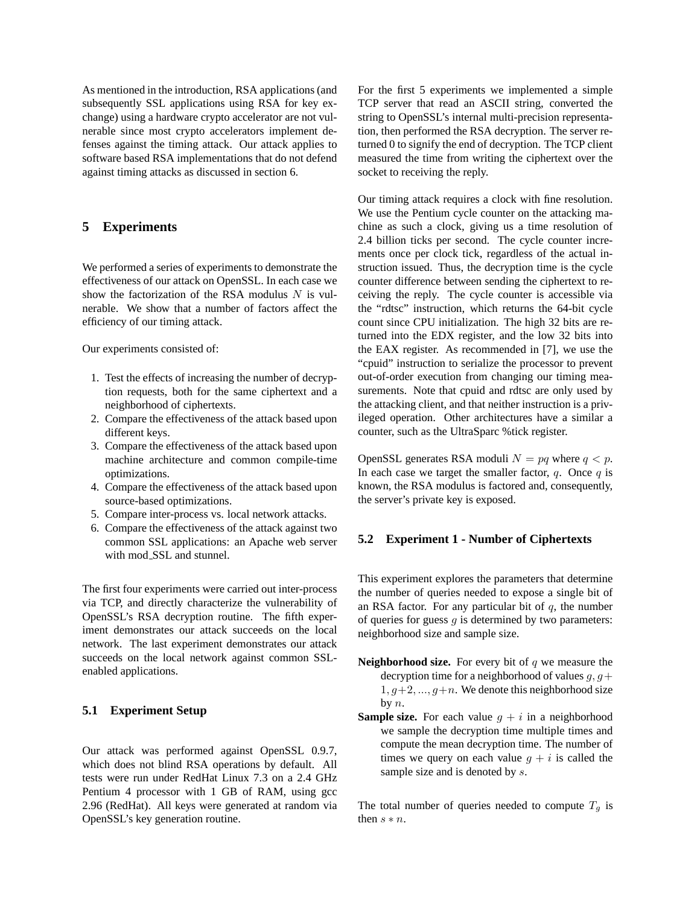As mentioned in the introduction, RSA applications (and subsequently SSL applications using RSA for key exchange) using a hardware crypto accelerator are not vulnerable since most crypto accelerators implement defenses against the timing attack. Our attack applies to software based RSA implementations that do not defend against timing attacks as discussed in section 6.

# **5 Experiments**

We performed a series of experiments to demonstrate the effectiveness of our attack on OpenSSL. In each case we show the factorization of the RSA modulus  $N$  is vulnerable. We show that a number of factors affect the efficiency of our timing attack.

Our experiments consisted of:

- 1. Test the effects of increasing the number of decryption requests, both for the same ciphertext and a neighborhood of ciphertexts.
- 2. Compare the effectiveness of the attack based upon different keys.
- 3. Compare the effectiveness of the attack based upon machine architecture and common compile-time optimizations.
- 4. Compare the effectiveness of the attack based upon source-based optimizations.
- 5. Compare inter-process vs. local network attacks.
- 6. Compare the effectiveness of the attack against two common SSL applications: an Apache web server with mod SSL and stunnel.

The first four experiments were carried out inter-process via TCP, and directly characterize the vulnerability of OpenSSL's RSA decryption routine. The fifth experiment demonstrates our attack succeeds on the local network. The last experiment demonstrates our attack succeeds on the local network against common SSLenabled applications.

#### **5.1 Experiment Setup**

Our attack was performed against OpenSSL 0.9.7, which does not blind RSA operations by default. All tests were run under RedHat Linux 7.3 on a 2.4 GHz Pentium 4 processor with 1 GB of RAM, using gcc 2.96 (RedHat). All keys were generated at random via OpenSSL's key generation routine.

For the first 5 experiments we implemented a simple TCP server that read an ASCII string, converted the string to OpenSSL's internal multi-precision representation, then performed the RSA decryption. The server returned 0 to signify the end of decryption. The TCP client measured the time from writing the ciphertext over the socket to receiving the reply.

Our timing attack requires a clock with fine resolution. We use the Pentium cycle counter on the attacking machine as such a clock, giving us a time resolution of 2.4 billion ticks per second. The cycle counter increments once per clock tick, regardless of the actual instruction issued. Thus, the decryption time is the cycle counter difference between sending the ciphertext to receiving the reply. The cycle counter is accessible via the "rdtsc" instruction, which returns the 64-bit cycle count since CPU initialization. The high 32 bits are returned into the EDX register, and the low 32 bits into the EAX register. As recommended in [7], we use the "cpuid" instruction to serialize the processor to prevent out-of-order execution from changing our timing measurements. Note that cpuid and rdtsc are only used by the attacking client, and that neither instruction is a privileged operation. Other architectures have a similar a counter, such as the UltraSparc %tick register.

OpenSSL generates RSA moduli  $N = pq$  where  $q < p$ . In each case we target the smaller factor,  $q$ . Once  $q$  is known, the RSA modulus is factored and, consequently, the server's private key is exposed.

### **5.2 Experiment 1 - Number of Ciphertexts**

This experiment explores the parameters that determine the number of queries needed to expose a single bit of an RSA factor. For any particular bit of  $q$ , the number of queries for guess  $g$  is determined by two parameters: neighborhood size and sample size.

- **Neighborhood size.** For every bit of  $q$  we measure the decryption time for a neighborhood of values  $g, g+$  $1, g+2, ..., g+n$ . We denote this neighborhood size by  $n$ .
- **Sample size.** For each value  $g + i$  in a neighborhood we sample the decryption time multiple times and compute the mean decryption time. The number of times we query on each value  $g + i$  is called the sample size and is denoted by  $s$ .

The total number of queries needed to compute  $T_g$  is then  $s * n$ .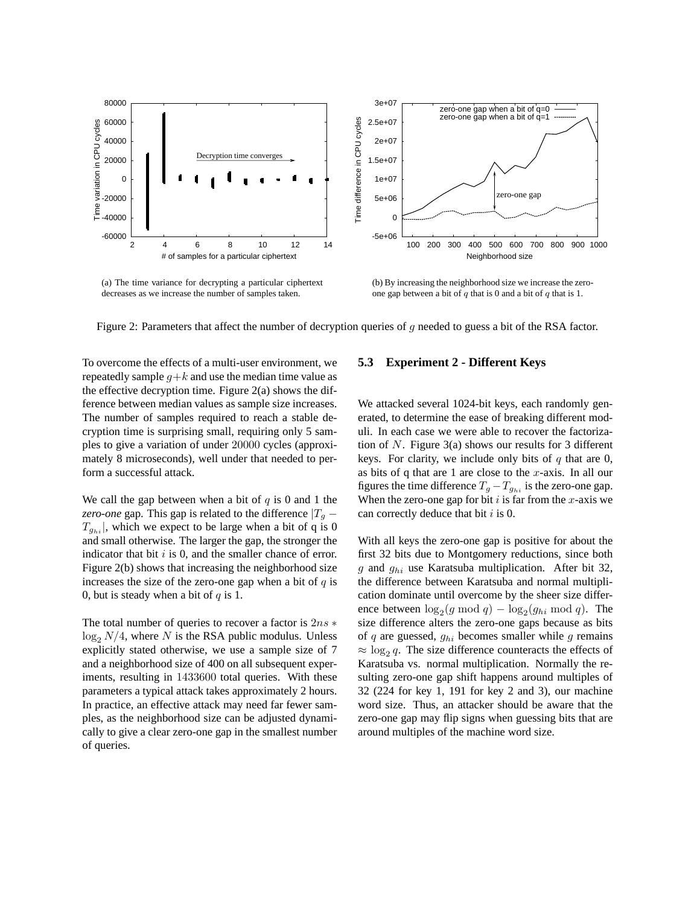

(a) The time variance for decrypting a particular ciphertext decreases as we increase the number of samples taken.

(b) By increasing the neighborhood size we increase the zeroone gap between a bit of  $q$  that is 0 and a bit of  $q$  that is 1.

Figure 2: Parameters that affect the number of decryption queries of  $q$  needed to guess a bit of the RSA factor.

To overcome the effects of a multi-user environment, we repeatedly sample  $q+k$  and use the median time value as the effective decryption time. Figure 2(a) shows the difference between median values as sample size increases. The number of samples required to reach a stable decryption time is surprising small, requiring only 5 samples to give a variation of under 20000 cycles (approximately 8 microseconds), well under that needed to perform a successful attack.

We call the gap between when a bit of  $q$  is 0 and 1 the *zero-one* gap. This gap is related to the difference  $|T_q - T_q|$  $T_{g_{hi}}$ , which we expect to be large when a bit of q is 0 and small otherwise. The larger the gap, the stronger the indicator that bit  $i$  is 0, and the smaller chance of error. Figure 2(b) shows that increasing the neighborhood size increases the size of the zero-one gap when a bit of  $q$  is 0, but is steady when a bit of  $q$  is 1.

The total number of queries to recover a factor is  $2ns *$  $\log_2 N/4$ , where N is the RSA public modulus. Unless explicitly stated otherwise, we use a sample size of 7 and a neighborhood size of 400 on all subsequent experiments, resulting in 1433600 total queries. With these parameters a typical attack takes approximately 2 hours. In practice, an effective attack may need far fewer samples, as the neighborhood size can be adjusted dynamically to give a clear zero-one gap in the smallest number of queries.

#### **5.3 Experiment 2 - Different Keys**

We attacked several 1024-bit keys, each randomly generated, to determine the ease of breaking different moduli. In each case we were able to recover the factorization of N. Figure  $3(a)$  shows our results for 3 different keys. For clarity, we include only bits of  $q$  that are 0, as bits of q that are 1 are close to the  $x$ -axis. In all our figures the time difference  $T_g - T_{ghi}$  is the zero-one gap. When the zero-one gap for bit  $i$  is far from the x-axis we can correctly deduce that bit  $i$  is 0.

With all keys the zero-one gap is positive for about the first 32 bits due to Montgomery reductions, since both g and  $g_{hi}$  use Karatsuba multiplication. After bit 32, the difference between Karatsuba and normal multiplication dominate until overcome by the sheer size difference between  $\log_2(g \mod q) - \log_2(g_{hi} \mod q)$ . The size difference alters the zero-one gaps because as bits of  $q$  are guessed,  $g_{hi}$  becomes smaller while  $g$  remains  $\approx \log_2 q$ . The size difference counteracts the effects of Karatsuba vs. normal multiplication. Normally the resulting zero-one gap shift happens around multiples of 32 (224 for key 1, 191 for key 2 and 3), our machine word size. Thus, an attacker should be aware that the zero-one gap may flip signs when guessing bits that are around multiples of the machine word size.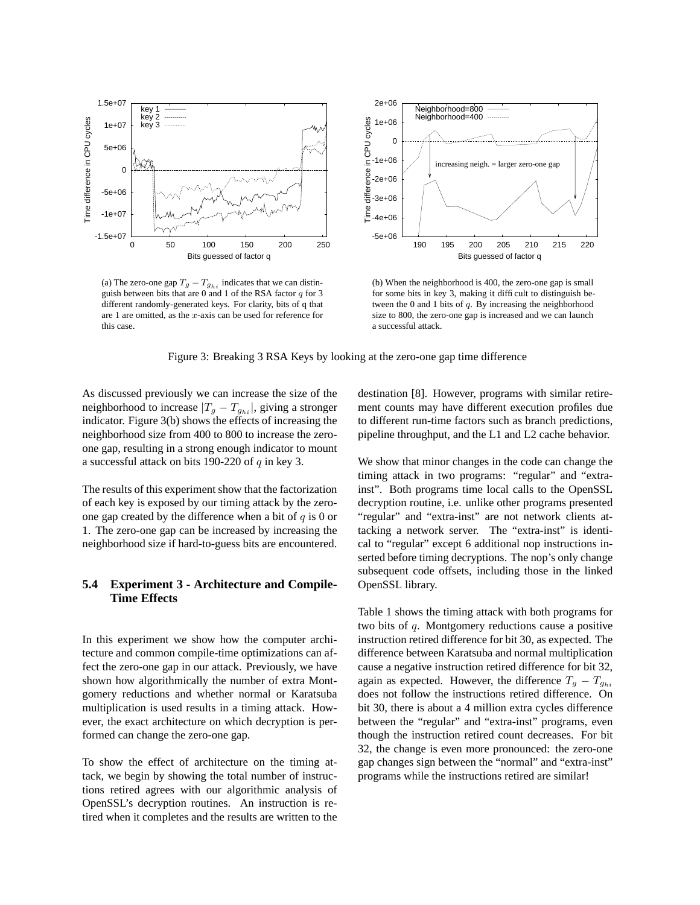

(a) The zero-one gap  $T_g - T_{g_{hi}}$  indicates that we can distinguish between bits that are  $0$  and 1 of the RSA factor  $q$  for 3 different randomly-generated keys. For clarity, bits of q that are 1 are omitted, as the  $x$ -axis can be used for reference for this case.



(b) When the neighborhood is 400, the zero-one gap is small for some bits in key 3, making it difficult to distinguish between the 0 and 1 bits of q. By increasing the neighborhood size to 800, the zero-one gap is increased and we can launch a successful attack.

Figure 3: Breaking 3 RSA Keys by looking at the zero-one gap time difference

As discussed previously we can increase the size of the neighborhood to increase  $|T_g - T_{g_{hi}}|$ , giving a stronger indicator. Figure 3(b) shows the effects of increasing the neighborhood size from 400 to 800 to increase the zeroone gap, resulting in a strong enough indicator to mount a successful attack on bits 190-220 of  $q$  in key 3.

The results of this experiment show that the factorization of each key is exposed by our timing attack by the zeroone gap created by the difference when a bit of  $q$  is 0 or 1. The zero-one gap can be increased by increasing the neighborhood size if hard-to-guess bits are encountered.

# **5.4 Experiment 3 - Architecture and Compile-Time Effects**

In this experiment we show how the computer architecture and common compile-time optimizations can affect the zero-one gap in our attack. Previously, we have shown how algorithmically the number of extra Montgomery reductions and whether normal or Karatsuba multiplication is used results in a timing attack. However, the exact architecture on which decryption is performed can change the zero-one gap.

To show the effect of architecture on the timing attack, we begin by showing the total number of instructions retired agrees with our algorithmic analysis of OpenSSL's decryption routines. An instruction is retired when it completes and the results are written to the

destination [8]. However, programs with similar retirement counts may have different execution profiles due to different run-time factors such as branch predictions, pipeline throughput, and the L1 and L2 cache behavior.

We show that minor changes in the code can change the timing attack in two programs: "regular" and "extrainst". Both programs time local calls to the OpenSSL decryption routine, i.e. unlike other programs presented "regular" and "extra-inst" are not network clients attacking a network server. The "extra-inst" is identical to "regular" except 6 additional nop instructions inserted before timing decryptions. The nop's only change subsequent code offsets, including those in the linked OpenSSL library.

Table 1 shows the timing attack with both programs for two bits of q. Montgomery reductions cause a positive instruction retired difference for bit 30, as expected. The difference between Karatsuba and normal multiplication cause a negative instruction retired difference for bit 32, again as expected. However, the difference  $T_q - T_{q_{hi}}$ does not follow the instructions retired difference. On bit 30, there is about a 4 million extra cycles difference between the "regular" and "extra-inst" programs, even though the instruction retired count decreases. For bit 32, the change is even more pronounced: the zero-one gap changes sign between the "normal" and "extra-inst" programs while the instructions retired are similar!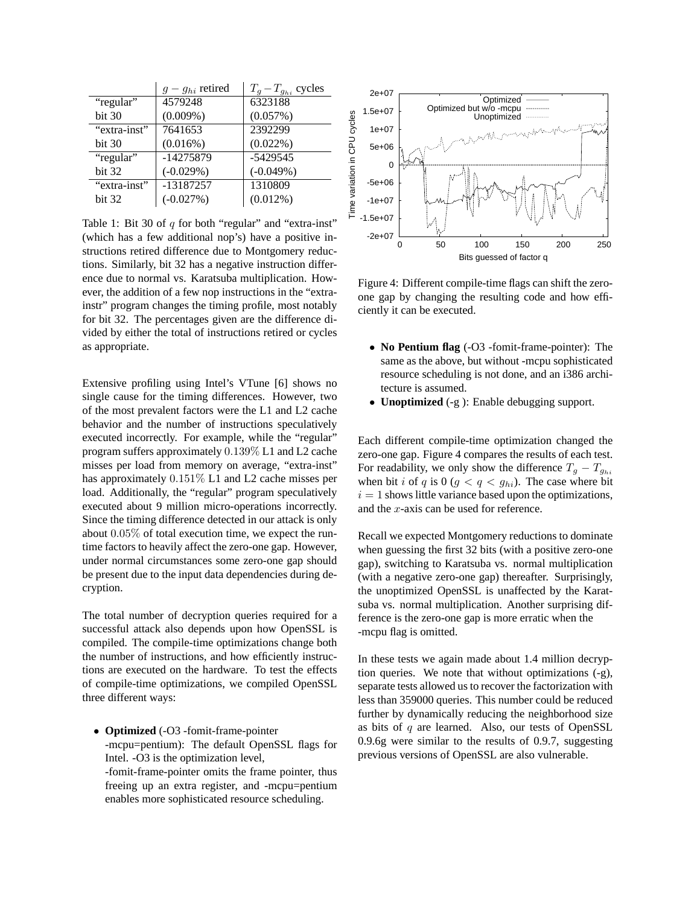|              | $g-g_{hi}$ retired | $T_q - T_{g_{hi}}$ cycles |
|--------------|--------------------|---------------------------|
| "regular"    | 4579248            | 6323188                   |
| bit 30       | $(0.009\%)$        | (0.057%)                  |
| "extra-inst" | 7641653            | 2392299                   |
| bit 30       | (0.016%)           | $(0.022\%)$               |
| "regular"    | -14275879          | $-5429545$                |
| bit 32       | $(-0.029%)$        | $(-0.049%)$               |
| "extra-inst" | -13187257          | 1310809                   |
| bit 32       | $(-0.027%)$        | $(0.012\%)$               |

Table 1: Bit 30 of  $q$  for both "regular" and "extra-inst" (which has a few additional nop's) have a positive instructions retired difference due to Montgomery reductions. Similarly, bit 32 has a negative instruction difference due to normal vs. Karatsuba multiplication. However, the addition of a few nop instructions in the "extrainstr" program changes the timing profile, most notably for bit 32. The percentages given are the difference divided by either the total of instructions retired or cycles as appropriate.

Extensive profiling using Intel's VTune [6] shows no single cause for the timing differences. However, two of the most prevalent factors were the L1 and L2 cache behavior and the number of instructions speculatively executed incorrectly. For example, while the "regular" program suffers approximately 0.139% L1 and L2 cache misses per load from memory on average, "extra-inst" has approximately 0.151% L1 and L2 cache misses per load. Additionally, the "regular" program speculatively executed about 9 million micro-operations incorrectly. Since the timing difference detected in our attack is only about 0.05% of total execution time, we expect the runtime factors to heavily affect the zero-one gap. However, under normal circumstances some zero-one gap should be present due to the input data dependencies during decryption.

The total number of decryption queries required for a successful attack also depends upon how OpenSSL is compiled. The compile-time optimizations change both the number of instructions, and how efficiently instructions are executed on the hardware. To test the effects of compile-time optimizations, we compiled OpenSSL three different ways:

• **Optimized** (-O3 -fomit-frame-pointer -mcpu=pentium): The default OpenSSL flags for Intel. -O3 is the optimization level,

-fomit-frame-pointer omits the frame pointer, thus freeing up an extra register, and -mcpu=pentium enables more sophisticated resource scheduling.



Figure 4: Different compile-time flags can shift the zeroone gap by changing the resulting code and how efficiently it can be executed.

- **No Pentium flag** (-O3 -fomit-frame-pointer): The same as the above, but without -mcpu sophisticated resource scheduling is not done, and an i386 architecture is assumed.
- **Unoptimized** (-g ): Enable debugging support.

Each different compile-time optimization changed the zero-one gap. Figure 4 compares the results of each test. For readability, we only show the difference  $T_q - T_{q_{hi}}$ when bit i of q is  $0 (g < q < g_{hi})$ . The case where bit  $i = 1$  shows little variance based upon the optimizations, and the x-axis can be used for reference.

Recall we expected Montgomery reductions to dominate when guessing the first 32 bits (with a positive zero-one gap), switching to Karatsuba vs. normal multiplication (with a negative zero-one gap) thereafter. Surprisingly, the unoptimized OpenSSL is unaffected by the Karatsuba vs. normal multiplication. Another surprising difference is the zero-one gap is more erratic when the -mcpu flag is omitted.

In these tests we again made about 1.4 million decryption queries. We note that without optimizations (-g), separate tests allowed us to recover the factorization with less than 359000 queries. This number could be reduced further by dynamically reducing the neighborhood size as bits of  $q$  are learned. Also, our tests of OpenSSL 0.9.6g were similar to the results of 0.9.7, suggesting previous versions of OpenSSL are also vulnerable.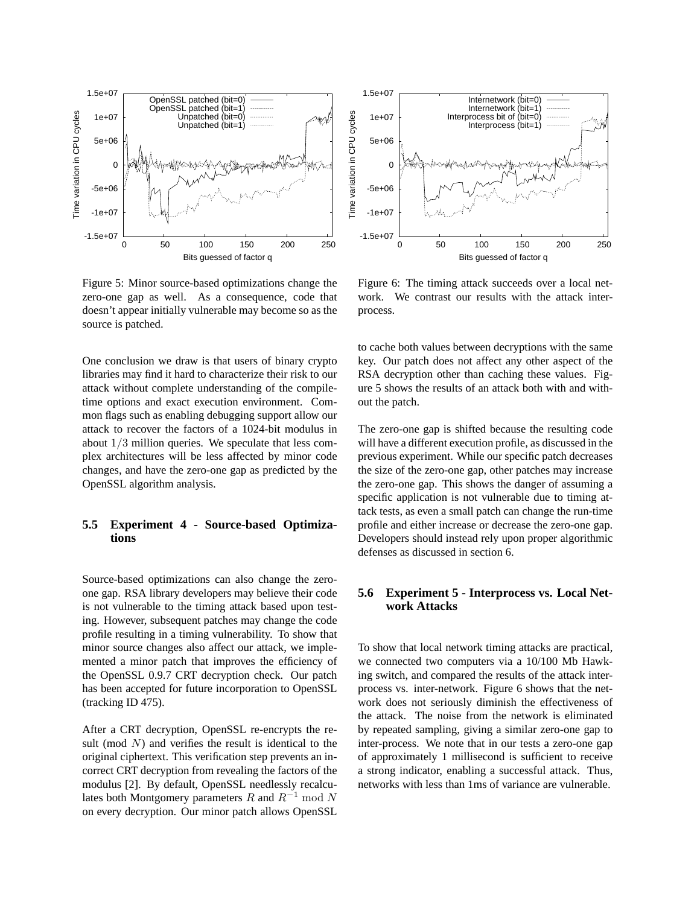

Figure 5: Minor source-based optimizations change the zero-one gap as well. As a consequence, code that doesn't appear initially vulnerable may become so as the source is patched.

One conclusion we draw is that users of binary crypto libraries may find it hard to characterize their risk to our attack without complete understanding of the compiletime options and exact execution environment. Common flags such as enabling debugging support allow our attack to recover the factors of a 1024-bit modulus in about 1/3 million queries. We speculate that less complex architectures will be less affected by minor code changes, and have the zero-one gap as predicted by the OpenSSL algorithm analysis.

# **5.5 Experiment 4 - Source-based Optimizations**

Source-based optimizations can also change the zeroone gap. RSA library developers may believe their code is not vulnerable to the timing attack based upon testing. However, subsequent patches may change the code profile resulting in a timing vulnerability. To show that minor source changes also affect our attack, we implemented a minor patch that improves the efficiency of the OpenSSL 0.9.7 CRT decryption check. Our patch has been accepted for future incorporation to OpenSSL (tracking ID 475).

After a CRT decryption, OpenSSL re-encrypts the result (mod  $N$ ) and verifies the result is identical to the original ciphertext. This verification step prevents an incorrect CRT decryption from revealing the factors of the modulus [2]. By default, OpenSSL needlessly recalculates both Montgomery parameters R and  $R^{-1}$  mod N on every decryption. Our minor patch allows OpenSSL



Figure 6: The timing attack succeeds over a local network. We contrast our results with the attack interprocess.

to cache both values between decryptions with the same key. Our patch does not affect any other aspect of the RSA decryption other than caching these values. Figure 5 shows the results of an attack both with and without the patch.

The zero-one gap is shifted because the resulting code will have a different execution profile, as discussed in the previous experiment. While our specific patch decreases the size of the zero-one gap, other patches may increase the zero-one gap. This shows the danger of assuming a specific application is not vulnerable due to timing attack tests, as even a small patch can change the run-time profile and either increase or decrease the zero-one gap. Developers should instead rely upon proper algorithmic defenses as discussed in section 6.

# **5.6 Experiment 5 - Interprocess vs. Local Network Attacks**

To show that local network timing attacks are practical, we connected two computers via a 10/100 Mb Hawking switch, and compared the results of the attack interprocess vs. inter-network. Figure 6 shows that the network does not seriously diminish the effectiveness of the attack. The noise from the network is eliminated by repeated sampling, giving a similar zero-one gap to inter-process. We note that in our tests a zero-one gap of approximately 1 millisecond is sufficient to receive a strong indicator, enabling a successful attack. Thus, networks with less than 1ms of variance are vulnerable.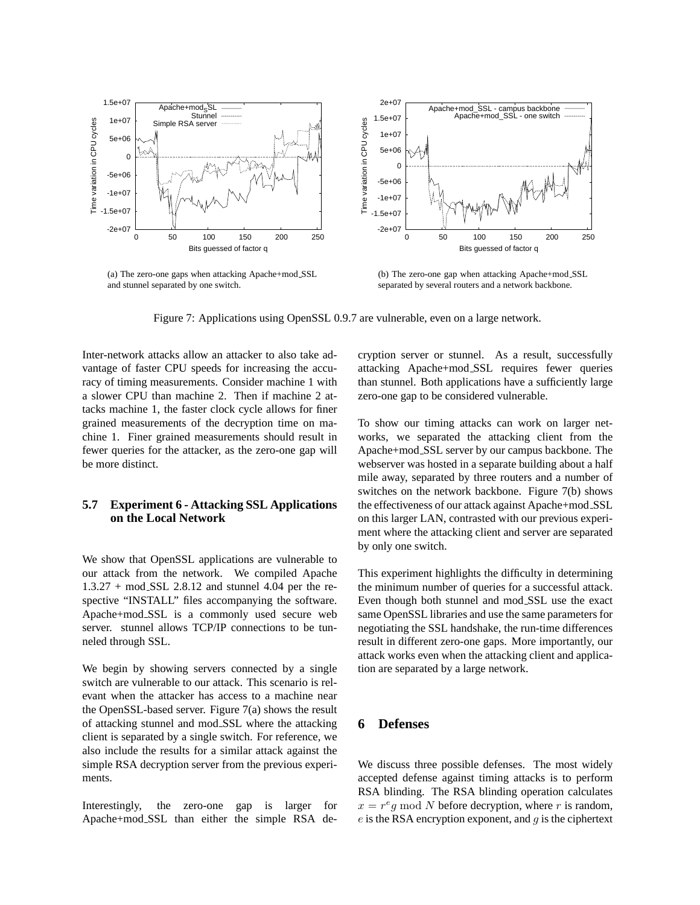

(a) The zero-one gaps when attacking Apache+mod SSL and stunnel separated by one switch.

(b) The zero-one gap when attacking Apache+mod SSL separated by several routers and a network backbone.

Figure 7: Applications using OpenSSL 0.9.7 are vulnerable, even on a large network.

Inter-network attacks allow an attacker to also take advantage of faster CPU speeds for increasing the accuracy of timing measurements. Consider machine 1 with a slower CPU than machine 2. Then if machine 2 attacks machine 1, the faster clock cycle allows for finer grained measurements of the decryption time on machine 1. Finer grained measurements should result in fewer queries for the attacker, as the zero-one gap will be more distinct.

# **5.7 Experiment 6 - Attacking SSL Applications on the Local Network**

We show that OpenSSL applications are vulnerable to our attack from the network. We compiled Apache 1.3.27 + mod SSL 2.8.12 and stunnel 4.04 per the respective "INSTALL" files accompanying the software. Apache+mod SSL is a commonly used secure web server. stunnel allows TCP/IP connections to be tunneled through SSL.

We begin by showing servers connected by a single switch are vulnerable to our attack. This scenario is relevant when the attacker has access to a machine near the OpenSSL-based server. Figure 7(a) shows the result of attacking stunnel and mod SSL where the attacking client is separated by a single switch. For reference, we also include the results for a similar attack against the simple RSA decryption server from the previous experiments.

Interestingly, the zero-one gap is larger for Apache+mod SSL than either the simple RSA decryption server or stunnel. As a result, successfully attacking Apache+mod SSL requires fewer queries than stunnel. Both applications have a sufficiently large zero-one gap to be considered vulnerable.

To show our timing attacks can work on larger networks, we separated the attacking client from the Apache+mod SSL server by our campus backbone. The webserver was hosted in a separate building about a half mile away, separated by three routers and a number of switches on the network backbone. Figure 7(b) shows the effectiveness of our attack against Apache+mod SSL on this larger LAN, contrasted with our previous experiment where the attacking client and server are separated by only one switch.

This experiment highlights the difficulty in determining the minimum number of queries for a successful attack. Even though both stunnel and mod SSL use the exact same OpenSSL libraries and use the same parameters for negotiating the SSL handshake, the run-time differences result in different zero-one gaps. More importantly, our attack works even when the attacking client and application are separated by a large network.

### **6 Defenses**

We discuss three possible defenses. The most widely accepted defense against timing attacks is to perform RSA blinding. The RSA blinding operation calculates  $x = r<sup>e</sup>g$  mod N before decryption, where r is random,  $e$  is the RSA encryption exponent, and  $q$  is the ciphertext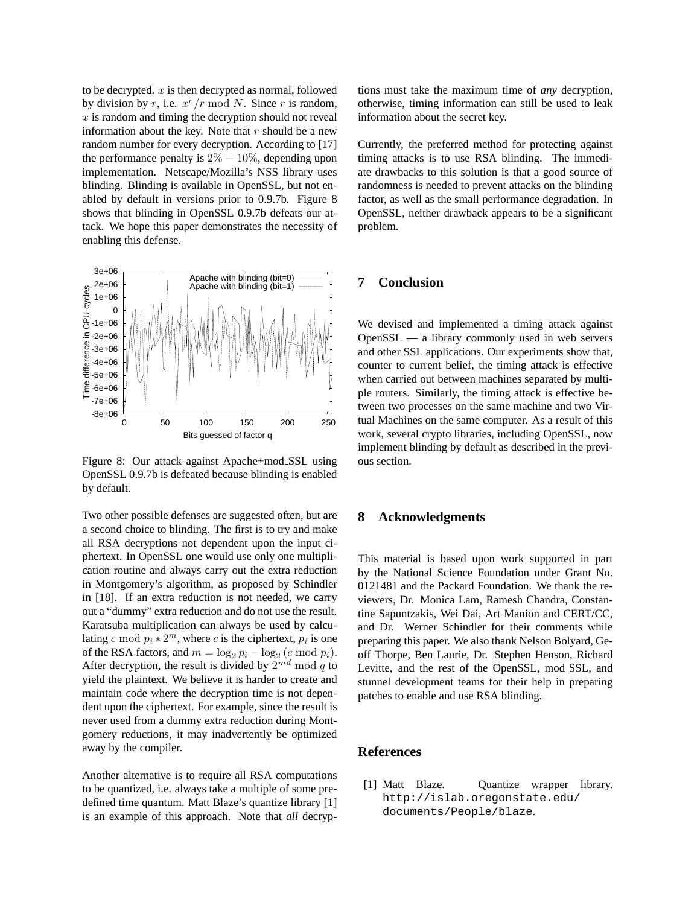to be decrypted.  $x$  is then decrypted as normal, followed by division by r, i.e.  $x^e/r \bmod N$ . Since r is random,  $x$  is random and timing the decryption should not reveal information about the key. Note that  $r$  should be a new random number for every decryption. According to [17] the performance penalty is  $2\% - 10\%$ , depending upon implementation. Netscape/Mozilla's NSS library uses blinding. Blinding is available in OpenSSL, but not enabled by default in versions prior to 0.9.7b. Figure 8 shows that blinding in OpenSSL 0.9.7b defeats our attack. We hope this paper demonstrates the necessity of enabling this defense.



Figure 8: Our attack against Apache+mod SSL using OpenSSL 0.9.7b is defeated because blinding is enabled by default.

Two other possible defenses are suggested often, but are a second choice to blinding. The first is to try and make all RSA decryptions not dependent upon the input ciphertext. In OpenSSL one would use only one multiplication routine and always carry out the extra reduction in Montgomery's algorithm, as proposed by Schindler in [18]. If an extra reduction is not needed, we carry out a "dummy" extra reduction and do not use the result. Karatsuba multiplication can always be used by calculating c mod  $p_i * 2^m$ , where c is the ciphertext,  $p_i$  is one of the RSA factors, and  $m = \log_2 p_i - \log_2 (c \mod p_i)$ . After decryption, the result is divided by  $2^{md}$  mod q to yield the plaintext. We believe it is harder to create and maintain code where the decryption time is not dependent upon the ciphertext. For example, since the result is never used from a dummy extra reduction during Montgomery reductions, it may inadvertently be optimized away by the compiler.

Another alternative is to require all RSA computations to be quantized, i.e. always take a multiple of some predefined time quantum. Matt Blaze's quantize library [1] is an example of this approach. Note that *all* decryptions must take the maximum time of *any* decryption, otherwise, timing information can still be used to leak information about the secret key.

Currently, the preferred method for protecting against timing attacks is to use RSA blinding. The immediate drawbacks to this solution is that a good source of randomness is needed to prevent attacks on the blinding factor, as well as the small performance degradation. In OpenSSL, neither drawback appears to be a significant problem.

# **7 Conclusion**

We devised and implemented a timing attack against OpenSSL — a library commonly used in web servers and other SSL applications. Our experiments show that, counter to current belief, the timing attack is effective when carried out between machines separated by multiple routers. Similarly, the timing attack is effective between two processes on the same machine and two Virtual Machines on the same computer. As a result of this work, several crypto libraries, including OpenSSL, now implement blinding by default as described in the previous section.

### **8 Acknowledgments**

This material is based upon work supported in part by the National Science Foundation under Grant No. 0121481 and the Packard Foundation. We thank the reviewers, Dr. Monica Lam, Ramesh Chandra, Constantine Sapuntzakis, Wei Dai, Art Manion and CERT/CC, and Dr. Werner Schindler for their comments while preparing this paper. We also thank Nelson Bolyard, Geoff Thorpe, Ben Laurie, Dr. Stephen Henson, Richard Levitte, and the rest of the OpenSSL, mod SSL, and stunnel development teams for their help in preparing patches to enable and use RSA blinding.

#### **References**

[1] Matt Blaze. Quantize wrapper library. http://islab.oregonstate.edu/ documents/People/blaze.